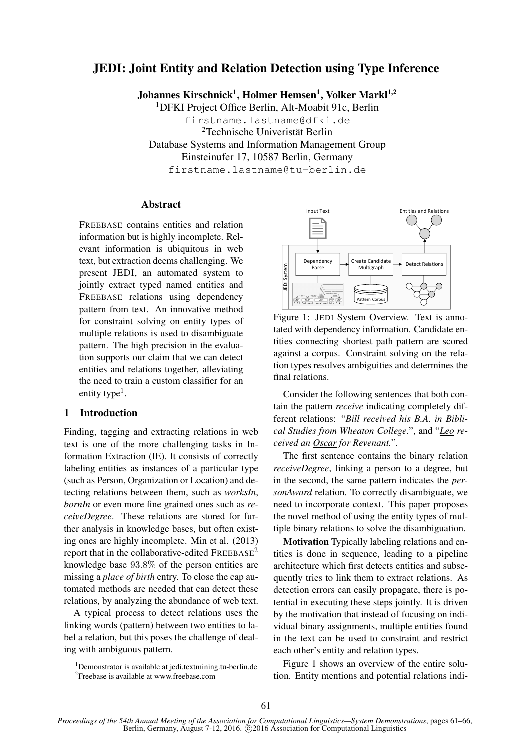# JEDI: Joint Entity and Relation Detection using Type Inference

Johannes Kirschnick<sup>1</sup>, Holmer Hemsen<sup>1</sup>, Volker Markl<sup>1,2</sup>

<sup>1</sup>DFKI Project Office Berlin, Alt-Moabit 91c, Berlin firstname.lastname@dfki.de <sup>2</sup>Technische Univeristät Berlin Database Systems and Information Management Group Einsteinufer 17, 10587 Berlin, Germany firstname.lastname@tu-berlin.de

Abstract

FREEBASE contains entities and relation information but is highly incomplete. Relevant information is ubiquitous in web text, but extraction deems challenging. We present JEDI, an automated system to jointly extract typed named entities and FREEBASE relations using dependency pattern from text. An innovative method for constraint solving on entity types of multiple relations is used to disambiguate pattern. The high precision in the evaluation supports our claim that we can detect entities and relations together, alleviating the need to train a custom classifier for an entity type<sup>1</sup>.

# 1 Introduction

Finding, tagging and extracting relations in web text is one of the more challenging tasks in Information Extraction (IE). It consists of correctly labeling entities as instances of a particular type (such as Person, Organization or Location) and detecting relations between them, such as *worksIn*, *bornIn* or even more fine grained ones such as *receiveDegree*. These relations are stored for further analysis in knowledge bases, but often existing ones are highly incomplete. Min et al. (2013) report that in the collaborative-edited  $FREEBASE^2$ knowledge base 93.8% of the person entities are missing a *place of birth* entry. To close the cap automated methods are needed that can detect these relations, by analyzing the abundance of web text.

A typical process to detect relations uses the linking words (pattern) between two entities to label a relation, but this poses the challenge of dealing with ambiguous pattern.



Figure 1: JEDI System Overview. Text is annotated with dependency information. Candidate entities connecting shortest path pattern are scored against a corpus. Constraint solving on the relation types resolves ambiguities and determines the final relations.

Consider the following sentences that both contain the pattern *receive* indicating completely different relations: "*Bill received his B.A. in Biblical Studies from Wheaton College.*", and "*Leo received an Oscar for Revenant.*".

The first sentence contains the binary relation *receiveDegree*, linking a person to a degree, but in the second, the same pattern indicates the *personAward* relation. To correctly disambiguate, we need to incorporate context. This paper proposes the novel method of using the entity types of multiple binary relations to solve the disambiguation.

Motivation Typically labeling relations and entities is done in sequence, leading to a pipeline architecture which first detects entities and subsequently tries to link them to extract relations. As detection errors can easily propagate, there is potential in executing these steps jointly. It is driven by the motivation that instead of focusing on individual binary assignments, multiple entities found in the text can be used to constraint and restrict each other's entity and relation types.

Figure 1 shows an overview of the entire solution. Entity mentions and potential relations indi-

<sup>&</sup>lt;sup>1</sup>Demonstrator is available at jedi.textmining.tu-berlin.de <sup>2</sup> Freebase is available at www.freebase.com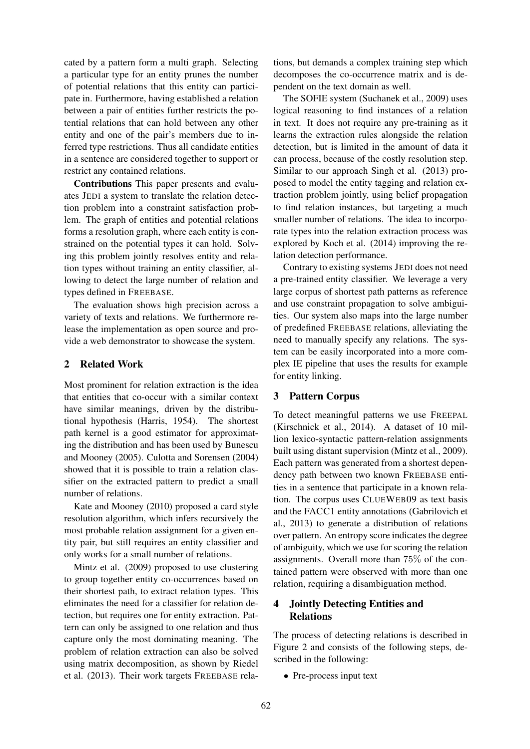cated by a pattern form a multi graph. Selecting a particular type for an entity prunes the number of potential relations that this entity can participate in. Furthermore, having established a relation between a pair of entities further restricts the potential relations that can hold between any other entity and one of the pair's members due to inferred type restrictions. Thus all candidate entities in a sentence are considered together to support or restrict any contained relations.

Contributions This paper presents and evaluates JEDI a system to translate the relation detection problem into a constraint satisfaction problem. The graph of entities and potential relations forms a resolution graph, where each entity is constrained on the potential types it can hold. Solving this problem jointly resolves entity and relation types without training an entity classifier, allowing to detect the large number of relation and types defined in FREEBASE.

The evaluation shows high precision across a variety of texts and relations. We furthermore release the implementation as open source and provide a web demonstrator to showcase the system.

# 2 Related Work

Most prominent for relation extraction is the idea that entities that co-occur with a similar context have similar meanings, driven by the distributional hypothesis (Harris, 1954). The shortest path kernel is a good estimator for approximating the distribution and has been used by Bunescu and Mooney (2005). Culotta and Sorensen (2004) showed that it is possible to train a relation classifier on the extracted pattern to predict a small number of relations.

Kate and Mooney (2010) proposed a card style resolution algorithm, which infers recursively the most probable relation assignment for a given entity pair, but still requires an entity classifier and only works for a small number of relations.

Mintz et al. (2009) proposed to use clustering to group together entity co-occurrences based on their shortest path, to extract relation types. This eliminates the need for a classifier for relation detection, but requires one for entity extraction. Pattern can only be assigned to one relation and thus capture only the most dominating meaning. The problem of relation extraction can also be solved using matrix decomposition, as shown by Riedel et al. (2013). Their work targets FREEBASE relations, but demands a complex training step which decomposes the co-occurrence matrix and is dependent on the text domain as well.

The SOFIE system (Suchanek et al., 2009) uses logical reasoning to find instances of a relation in text. It does not require any pre-training as it learns the extraction rules alongside the relation detection, but is limited in the amount of data it can process, because of the costly resolution step. Similar to our approach Singh et al. (2013) proposed to model the entity tagging and relation extraction problem jointly, using belief propagation to find relation instances, but targeting a much smaller number of relations. The idea to incorporate types into the relation extraction process was explored by Koch et al. (2014) improving the relation detection performance.

Contrary to existing systems JEDI does not need a pre-trained entity classifier. We leverage a very large corpus of shortest path patterns as reference and use constraint propagation to solve ambiguities. Our system also maps into the large number of predefined FREEBASE relations, alleviating the need to manually specify any relations. The system can be easily incorporated into a more complex IE pipeline that uses the results for example for entity linking.

# 3 Pattern Corpus

To detect meaningful patterns we use FREEPAL (Kirschnick et al., 2014). A dataset of 10 million lexico-syntactic pattern-relation assignments built using distant supervision (Mintz et al., 2009). Each pattern was generated from a shortest dependency path between two known FREEBASE entities in a sentence that participate in a known relation. The corpus uses CLUEWEB09 as text basis and the FACC1 entity annotations (Gabrilovich et al., 2013) to generate a distribution of relations over pattern. An entropy score indicates the degree of ambiguity, which we use for scoring the relation assignments. Overall more than 75% of the contained pattern were observed with more than one relation, requiring a disambiguation method.

# 4 Jointly Detecting Entities and Relations

The process of detecting relations is described in Figure 2 and consists of the following steps, described in the following:

• Pre-process input text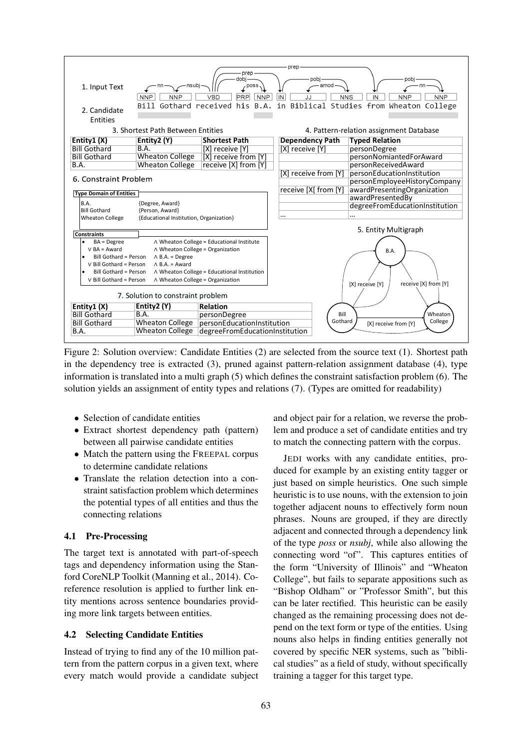

Figure 2: Solution overview: Candidate Entities (2) are selected from the source text (1). Shortest path in the dependency tree is extracted (3), pruned against pattern-relation assignment database (4), type information is translated into a multi graph (5) which defines the constraint satisfaction problem (6). The solution yields an assignment of entity types and relations (7). (Types are omitted for readability)

- Selection of candidate entities
- Extract shortest dependency path (pattern) between all pairwise candidate entities
- Match the pattern using the FREEPAL corpus to determine candidate relations
- Translate the relation detection into a constraint satisfaction problem which determines the potential types of all entities and thus the connecting relations

# 4.1 Pre-Processing

The target text is annotated with part-of-speech tags and dependency information using the Stanford CoreNLP Toolkit (Manning et al., 2014). Coreference resolution is applied to further link entity mentions across sentence boundaries providing more link targets between entities.

# 4.2 Selecting Candidate Entities

Instead of trying to find any of the 10 million pattern from the pattern corpus in a given text, where every match would provide a candidate subject and object pair for a relation, we reverse the problem and produce a set of candidate entities and try to match the connecting pattern with the corpus.

JEDI works with any candidate entities, produced for example by an existing entity tagger or just based on simple heuristics. One such simple heuristic is to use nouns, with the extension to join together adjacent nouns to effectively form noun phrases. Nouns are grouped, if they are directly adjacent and connected through a dependency link of the type *poss* or *nsubj*, while also allowing the connecting word "of". This captures entities of the form "University of Illinois" and "Wheaton College", but fails to separate appositions such as "Bishop Oldham" or "Professor Smith", but this can be later rectified. This heuristic can be easily changed as the remaining processing does not depend on the text form or type of the entities. Using nouns also helps in finding entities generally not covered by specific NER systems, such as "biblical studies" as a field of study, without specifically training a tagger for this target type.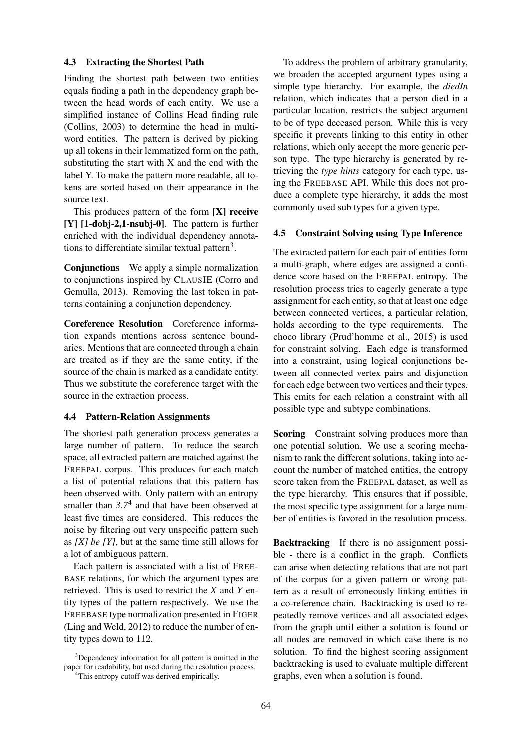### 4.3 Extracting the Shortest Path

Finding the shortest path between two entities equals finding a path in the dependency graph between the head words of each entity. We use a simplified instance of Collins Head finding rule (Collins, 2003) to determine the head in multiword entities. The pattern is derived by picking up all tokens in their lemmatized form on the path, substituting the start with X and the end with the label Y. To make the pattern more readable, all tokens are sorted based on their appearance in the source text.

This produces pattern of the form [X] receive [Y] [1-dobj-2,1-nsubj-0]. The pattern is further enriched with the individual dependency annotations to differentiate similar textual pattern<sup>3</sup>.

Conjunctions We apply a simple normalization to conjunctions inspired by CLAUSIE (Corro and Gemulla, 2013). Removing the last token in patterns containing a conjunction dependency.

Coreference Resolution Coreference information expands mentions across sentence boundaries. Mentions that are connected through a chain are treated as if they are the same entity, if the source of the chain is marked as a candidate entity. Thus we substitute the coreference target with the source in the extraction process.

### 4.4 Pattern-Relation Assignments

The shortest path generation process generates a large number of pattern. To reduce the search space, all extracted pattern are matched against the FREEPAL corpus. This produces for each match a list of potential relations that this pattern has been observed with. Only pattern with an entropy smaller than  $3.7<sup>4</sup>$  and that have been observed at least five times are considered. This reduces the noise by filtering out very unspecific pattern such as *[X] be [Y]*, but at the same time still allows for a lot of ambiguous pattern.

Each pattern is associated with a list of FREE-BASE relations, for which the argument types are retrieved. This is used to restrict the *X* and *Y* entity types of the pattern respectively. We use the FREEBASE type normalization presented in FIGER (Ling and Weld, 2012) to reduce the number of entity types down to 112.

<sup>3</sup>Dependency information for all pattern is omitted in the paper for readability, but used during the resolution process.

To address the problem of arbitrary granularity, we broaden the accepted argument types using a simple type hierarchy. For example, the *diedIn* relation, which indicates that a person died in a particular location, restricts the subject argument to be of type deceased person. While this is very specific it prevents linking to this entity in other relations, which only accept the more generic person type. The type hierarchy is generated by retrieving the *type hints* category for each type, using the FREEBASE API. While this does not produce a complete type hierarchy, it adds the most commonly used sub types for a given type.

### 4.5 Constraint Solving using Type Inference

The extracted pattern for each pair of entities form a multi-graph, where edges are assigned a confidence score based on the FREEPAL entropy. The resolution process tries to eagerly generate a type assignment for each entity, so that at least one edge between connected vertices, a particular relation, holds according to the type requirements. The choco library (Prud'homme et al., 2015) is used for constraint solving. Each edge is transformed into a constraint, using logical conjunctions between all connected vertex pairs and disjunction for each edge between two vertices and their types. This emits for each relation a constraint with all possible type and subtype combinations.

Scoring Constraint solving produces more than one potential solution. We use a scoring mechanism to rank the different solutions, taking into account the number of matched entities, the entropy score taken from the FREEPAL dataset, as well as the type hierarchy. This ensures that if possible, the most specific type assignment for a large number of entities is favored in the resolution process.

Backtracking If there is no assignment possible - there is a conflict in the graph. Conflicts can arise when detecting relations that are not part of the corpus for a given pattern or wrong pattern as a result of erroneously linking entities in a co-reference chain. Backtracking is used to repeatedly remove vertices and all associated edges from the graph until either a solution is found or all nodes are removed in which case there is no solution. To find the highest scoring assignment backtracking is used to evaluate multiple different graphs, even when a solution is found.

<sup>&</sup>lt;sup>4</sup>This entropy cutoff was derived empirically.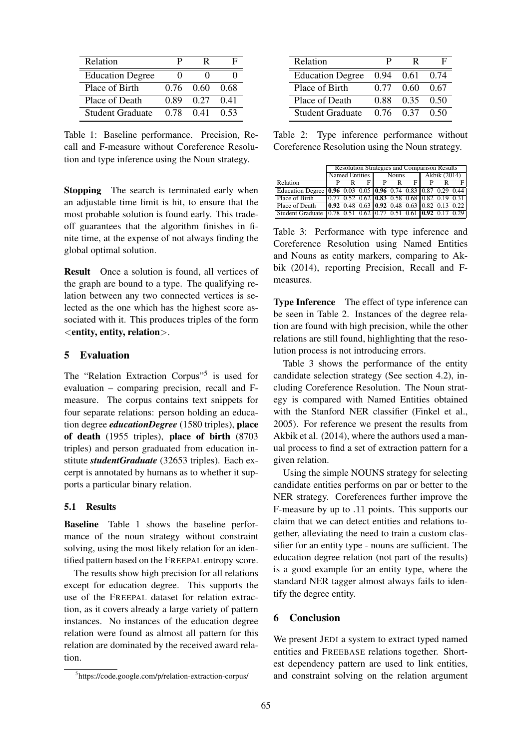| Relation                |      | R    | н    |
|-------------------------|------|------|------|
| <b>Education Degree</b> |      |      |      |
| Place of Birth          | 0.76 | 0.60 | 0.68 |
| Place of Death          | 0.89 | 0.27 | 0.41 |
| Student Graduate        | 0.78 | 0.41 | 0.53 |

Table 1: Baseline performance. Precision, Recall and F-measure without Coreference Resolution and type inference using the Noun strategy.

**Stopping** The search is terminated early when an adjustable time limit is hit, to ensure that the most probable solution is found early. This tradeoff guarantees that the algorithm finishes in finite time, at the expense of not always finding the global optimal solution.

Result Once a solution is found, all vertices of the graph are bound to a type. The qualifying relation between any two connected vertices is selected as the one which has the highest score associated with it. This produces triples of the form <entity, entity, relation>.

### 5 Evaluation

The "Relation Extraction Corpus"<sup>5</sup> is used for evaluation – comparing precision, recall and Fmeasure. The corpus contains text snippets for four separate relations: person holding an education degree *educationDegree* (1580 triples), place of death (1955 triples), place of birth (8703 triples) and person graduated from education institute *studentGraduate* (32653 triples). Each excerpt is annotated by humans as to whether it supports a particular binary relation.

### 5.1 Results

Baseline Table 1 shows the baseline performance of the noun strategy without constraint solving, using the most likely relation for an identified pattern based on the FREEPAL entropy score.

The results show high precision for all relations except for education degree. This supports the use of the FREEPAL dataset for relation extraction, as it covers already a large variety of pattern instances. No instances of the education degree relation were found as almost all pattern for this relation are dominated by the received award relation.

| Relation                | р    | R                 | н    |
|-------------------------|------|-------------------|------|
| <b>Education Degree</b> | 0.94 | 0.61              | 0.74 |
| Place of Birth          | 0.77 | 0.60              | 0.67 |
| Place of Death          | 0.88 | 0.35              | 0.50 |
| Student Graduate        |      | $0.76 \quad 0.37$ | 0.50 |

Table 2: Type inference performance without Coreference Resolution using the Noun strategy.

|                                                                | <b>Resolution Strategies and Comparison Results</b> |  |              |   |              |                                                                                        |  |  |      |
|----------------------------------------------------------------|-----------------------------------------------------|--|--------------|---|--------------|----------------------------------------------------------------------------------------|--|--|------|
|                                                                | Named Entities                                      |  | <b>Nouns</b> |   | Akbik (2014) |                                                                                        |  |  |      |
| Relation                                                       |                                                     |  | F            | P |              | F                                                                                      |  |  |      |
| Education Degree 0.96 0.03 0.05 0.96 0.74 0.83 0.87 0.29 0.44  |                                                     |  |              |   |              |                                                                                        |  |  |      |
| Place of Birth                                                 |                                                     |  |              |   |              | $\boxed{0.77 \ \ 0.52 \ \ 0.62 \ \ 0.83 \ \ 0.58 \ \ 0.68 \ \ 0.82 \ \ 0.19 \ \ 0.31}$ |  |  |      |
| Place of Death                                                 |                                                     |  |              |   |              |                                                                                        |  |  |      |
| Student Graduate   0.78 0.51 0.62   0.77 0.51 0.61   0.92 0.17 |                                                     |  |              |   |              |                                                                                        |  |  | 0.29 |

Table 3: Performance with type inference and Coreference Resolution using Named Entities and Nouns as entity markers, comparing to Akbik (2014), reporting Precision, Recall and Fmeasures.

Type Inference The effect of type inference can be seen in Table 2. Instances of the degree relation are found with high precision, while the other relations are still found, highlighting that the resolution process is not introducing errors.

Table 3 shows the performance of the entity candidate selection strategy (See section 4.2), including Coreference Resolution. The Noun strategy is compared with Named Entities obtained with the Stanford NER classifier (Finkel et al., 2005). For reference we present the results from Akbik et al. (2014), where the authors used a manual process to find a set of extraction pattern for a given relation.

Using the simple NOUNS strategy for selecting candidate entities performs on par or better to the NER strategy. Coreferences further improve the F-measure by up to .11 points. This supports our claim that we can detect entities and relations together, alleviating the need to train a custom classifier for an entity type - nouns are sufficient. The education degree relation (not part of the results) is a good example for an entity type, where the standard NER tagger almost always fails to identify the degree entity.

# 6 Conclusion

We present JEDI a system to extract typed named entities and FREEBASE relations together. Shortest dependency pattern are used to link entities, and constraint solving on the relation argument

<sup>5</sup> https://code.google.com/p/relation-extraction-corpus/